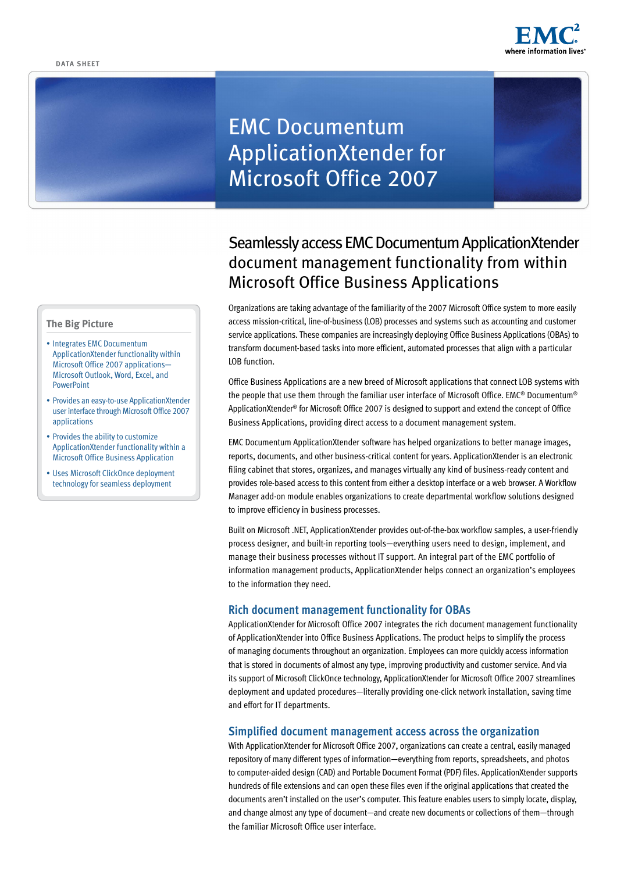

# EMC Documentum ApplicationXtender for Microsoft Office 2007

# Seamlessly access EMC Documentum ApplicationXtender document management functionality from within Microsoft Office Business Applications

Organizations are taking advantage of the familiarity of the 2007 Microsoft Office system to more easily access mission-critical, line-of-business (LOB) processes and systems such as accounting and customer service applications. These companies are increasingly deploying Office Business Applications (OBAs) to transform document-based tasks into more efficient, automated processes that align with a particular LOB function.

Office Business Applications are a new breed of Microsoft applications that connect LOB systems with the people that use them through the familiar user interface of Microsoft Office. EMC® Documentum® ApplicationXtender<sup>®</sup> for Microsoft Office 2007 is designed to support and extend the concept of Office Business Applications, providing direct access to a document management system.

EMC Documentum ApplicationXtender software has helped organizations to better manage images, reports, documents, and other business-critical content for years. ApplicationXtender is an electronic filing cabinet that stores, organizes, and manages virtually any kind of business-ready content and provides role-based access to this content from either a desktop interface or a web browser. A Workflow Manager add-on module enables organizations to create departmental workflow solutions designed to improve efficiency in business processes.

Built on Microsoft .NET, ApplicationXtender provides out-of-the-box workflow samples, a user-friendly process designer, and built-in reporting tools—everything users need to design, implement, and manage their business processes without IT support. An integral part of the EMC portfolio of information management products, ApplicationXtender helps connect an organization's employees to the information they need.

# **Rich document management functionality for OBAs**

ApplicationXtender for Microsoft Office 2007 integrates the rich document management functionality of ApplicationXtender into Office Business Applications. The product helps to simplify the process of managing documents throughout an organization. Employees can more quickly access information that is stored in documents of almost any type, improving productivity and customer service. And via its support of Microsoft ClickOnce technology, ApplicationXtender for Microsoft Office 2007 streamlines deployment and updated procedures—literally providing one-click network installation, saving time and effort for IT departments.

## **Simplified document management access across the organization**

With ApplicationXtender for Microsoft Office 2007, organizations can create a central, easily managed repository of many different types of information—everything from reports, spreadsheets, and photos to computer-aided design (CAD) and Portable Document Format (PDF) files. ApplicationXtender supports hundreds of file extensions and can open these files even if the original applications that created the documents aren't installed on the user's computer. This feature enables users to simply locate, display, and change almost any type of document—and create new documents or collections of them—through the familiar Microsoft Office user interface.

### **The Big Picture**

- Integrates EMC Documentum ApplicationXtender functionality within Microsoft Office 2007 applications— Microsoft Outlook, Word, Excel, and **PowerPoint**
- • Provides an easy-to-use ApplicationXtender user interface through Microsoft Office 2007 applications
- Provides the ability to customize ApplicationXtender functionality within a Microsoft Office Business Application
- Uses Microsoft ClickOnce deployment technology for seamless deployment